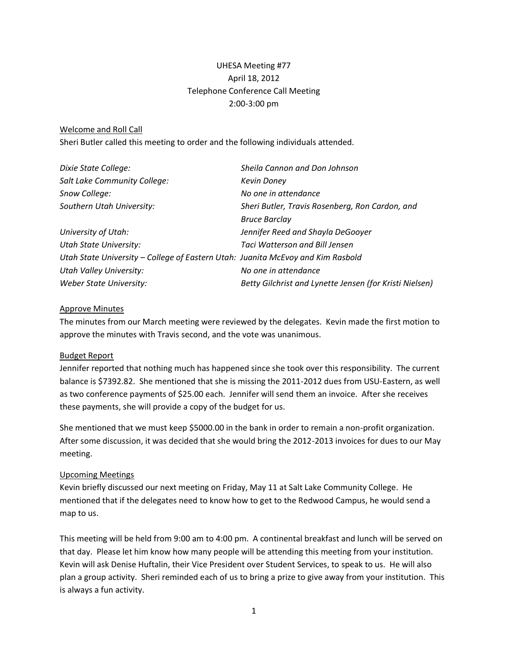# UHESA Meeting #77 April 18, 2012 Telephone Conference Call Meeting 2:00-3:00 pm

#### Welcome and Roll Call

Sheri Butler called this meeting to order and the following individuals attended.

| Dixie State College:                                                            | Sheila Cannon and Don Johnson                           |
|---------------------------------------------------------------------------------|---------------------------------------------------------|
| Salt Lake Community College:                                                    | <b>Kevin Doney</b>                                      |
| Snow College:                                                                   | No one in attendance                                    |
| Southern Utah University:                                                       | Sheri Butler, Travis Rosenberg, Ron Cardon, and         |
|                                                                                 | <b>Bruce Barclay</b>                                    |
| University of Utah:                                                             | Jennifer Reed and Shayla DeGooyer                       |
| <b>Utah State University:</b>                                                   | <b>Taci Watterson and Bill Jensen</b>                   |
| Utah State University - College of Eastern Utah: Juanita McEvoy and Kim Rasbold |                                                         |
| Utah Valley University:                                                         | No one in attendance                                    |
| Weber State University:                                                         | Betty Gilchrist and Lynette Jensen (for Kristi Nielsen) |

#### Approve Minutes

The minutes from our March meeting were reviewed by the delegates. Kevin made the first motion to approve the minutes with Travis second, and the vote was unanimous.

### Budget Report

Jennifer reported that nothing much has happened since she took over this responsibility. The current balance is \$7392.82. She mentioned that she is missing the 2011-2012 dues from USU-Eastern, as well as two conference payments of \$25.00 each. Jennifer will send them an invoice. After she receives these payments, she will provide a copy of the budget for us.

She mentioned that we must keep \$5000.00 in the bank in order to remain a non-profit organization. After some discussion, it was decided that she would bring the 2012-2013 invoices for dues to our May meeting.

### Upcoming Meetings

Kevin briefly discussed our next meeting on Friday, May 11 at Salt Lake Community College. He mentioned that if the delegates need to know how to get to the Redwood Campus, he would send a map to us.

This meeting will be held from 9:00 am to 4:00 pm. A continental breakfast and lunch will be served on that day. Please let him know how many people will be attending this meeting from your institution. Kevin will ask Denise Huftalin, their Vice President over Student Services, to speak to us. He will also plan a group activity. Sheri reminded each of us to bring a prize to give away from your institution. This is always a fun activity.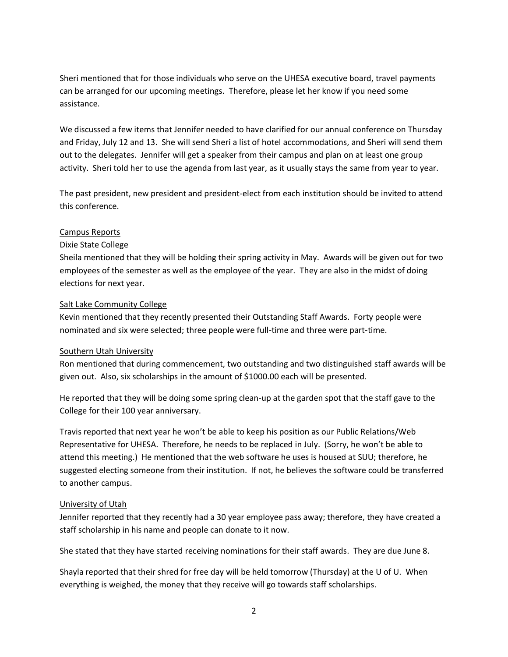Sheri mentioned that for those individuals who serve on the UHESA executive board, travel payments can be arranged for our upcoming meetings. Therefore, please let her know if you need some assistance.

We discussed a few items that Jennifer needed to have clarified for our annual conference on Thursday and Friday, July 12 and 13. She will send Sheri a list of hotel accommodations, and Sheri will send them out to the delegates. Jennifer will get a speaker from their campus and plan on at least one group activity. Sheri told her to use the agenda from last year, as it usually stays the same from year to year.

The past president, new president and president-elect from each institution should be invited to attend this conference.

## Campus Reports

## Dixie State College

Sheila mentioned that they will be holding their spring activity in May. Awards will be given out for two employees of the semester as well as the employee of the year. They are also in the midst of doing elections for next year.

### Salt Lake Community College

Kevin mentioned that they recently presented their Outstanding Staff Awards. Forty people were nominated and six were selected; three people were full-time and three were part-time.

### Southern Utah University

Ron mentioned that during commencement, two outstanding and two distinguished staff awards will be given out. Also, six scholarships in the amount of \$1000.00 each will be presented.

He reported that they will be doing some spring clean-up at the garden spot that the staff gave to the College for their 100 year anniversary.

Travis reported that next year he won't be able to keep his position as our Public Relations/Web Representative for UHESA. Therefore, he needs to be replaced in July. (Sorry, he won't be able to attend this meeting.) He mentioned that the web software he uses is housed at SUU; therefore, he suggested electing someone from their institution. If not, he believes the software could be transferred to another campus.

## University of Utah

Jennifer reported that they recently had a 30 year employee pass away; therefore, they have created a staff scholarship in his name and people can donate to it now.

She stated that they have started receiving nominations for their staff awards. They are due June 8.

Shayla reported that their shred for free day will be held tomorrow (Thursday) at the U of U. When everything is weighed, the money that they receive will go towards staff scholarships.